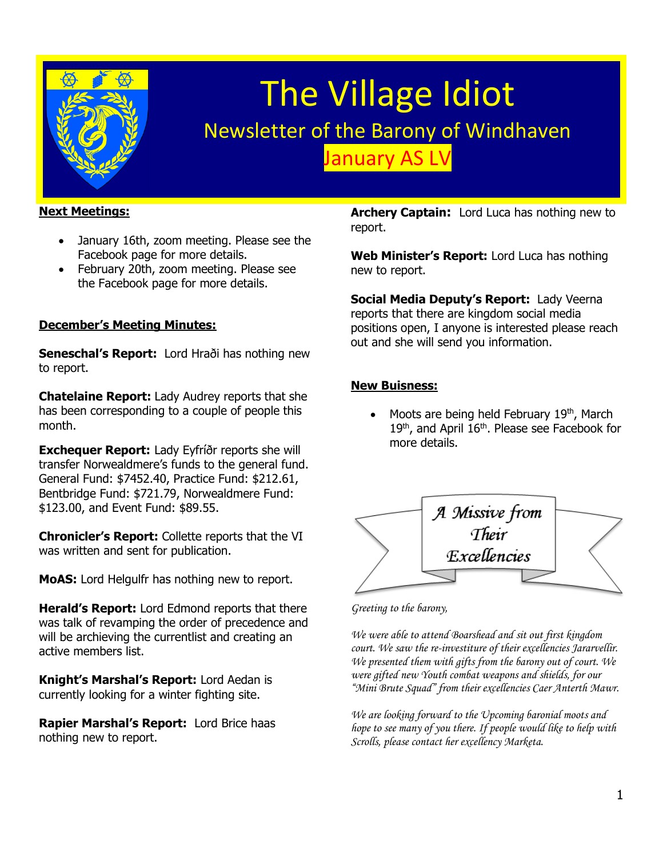

# The Village Idiot Newsletter of the Barony of Windhaven January AS LV

## **Next Meetings:**

- January 16th, zoom meeting. Please see the Facebook page for more details.
- February 20th, zoom meeting. Please see the Facebook page for more details.

## **December's Meeting Minutes:**

**Seneschal's Report:** Lord Hraði has nothing new to report.

**Chatelaine Report:** Lady Audrey reports that she has been corresponding to a couple of people this month.

**Exchequer Report:** Lady Eyfríðr reports she will transfer Norwealdmere's funds to the general fund. General Fund: \$7452.40, Practice Fund: \$212.61, Bentbridge Fund: \$721.79, Norwealdmere Fund: \$123.00, and Event Fund: \$89.55.

**Chronicler's Report:** Collette reports that the VI was written and sent for publication.

**MoAS:** Lord Helgulfr has nothing new to report.

**Herald's Report:** Lord Edmond reports that there was talk of revamping the order of precedence and will be archieving the currentlist and creating an active members list.

**Knight's Marshal's Report:** Lord Aedan is currently looking for a winter fighting site.

**Rapier Marshal's Report:** Lord Brice haas nothing new to report.

**Archery Captain:** Lord Luca has nothing new to report.

**Web Minister's Report:** Lord Luca has nothing new to report.

**Social Media Deputy's Report:** Lady Veerna reports that there are kingdom social media positions open, I anyone is interested please reach out and she will send you information.

#### **New Buisness:**

Moots are being held February 19th, March 19<sup>th</sup>, and April 16<sup>th</sup>. Please see Facebook for more details.



*Greeting to the barony,* 

*We were able to attend Boarshead and sit out first kingdom court. We saw the re-investiture of their excellencies Jararvellir. We presented them with gifts from the barony out of court. We were gifted new Youth combat weapons and shields, for our "Mini Brute Squad" from their excellencies Caer Anterth Mawr.*

*We are looking forward to the Upcoming baronial moots and hope to see many of you there. If people would like to help with Scrolls, please contact her excellency Marketa.*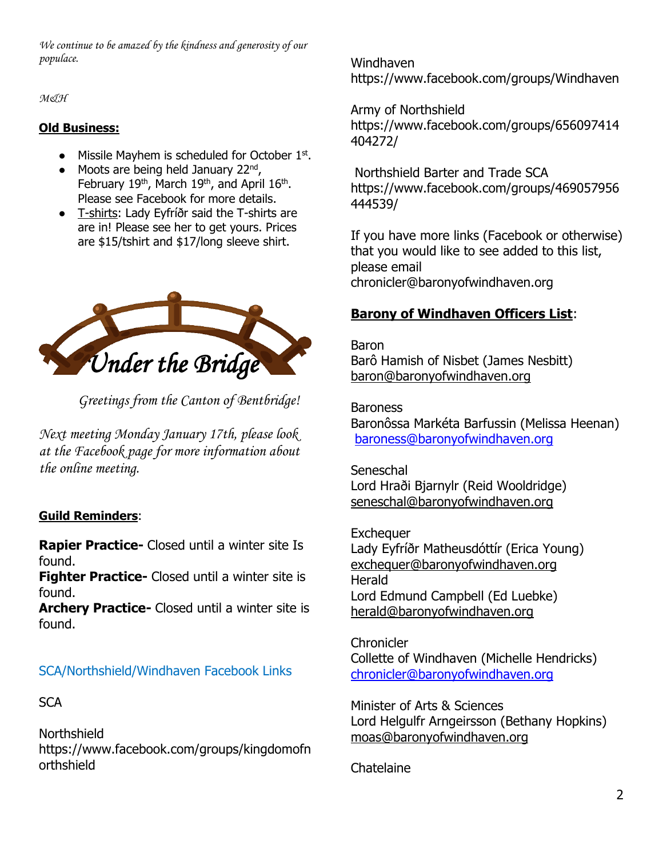*We continue to be amazed by the kindness and generosity of our populace.*

*M&H*

## **Old Business:**

- Missile Mayhem is scheduled for October 1st.
- $\bullet$  Moots are being held January 22<sup>nd</sup>, February 19<sup>th</sup>, March 19<sup>th</sup>, and April 16<sup>th</sup>. Please see Facebook for more details.
- T-shirts: Lady Eyfríðr said the T-shirts are are in! Please see her to get yours. Prices are \$15/tshirt and \$17/long sleeve shirt.



*Greetings from the Canton of Bentbridge!* 

*Next meeting Monday January 17th, please look at the Facebook page for more information about the online meeting.*

# **Guild Reminders**:

**Rapier Practice-** Closed until a winter site Is found.

**Fighter Practice-** Closed until a winter site is found.

**Archery Practice-** Closed until a winter site is found.

# SCA/Northshield/Windhaven Facebook Links

## **SCA**

Northshield https://www.facebook.com/groups/kingdomofn orthshield

Windhaven <https://www.facebook.com/groups/Windhaven>

Army of Northshield https://www.facebook.com/groups/656097414 404272/

Northshield Barter and Trade SCA https://www.facebook.com/groups/469057956 444539/

If you have more links (Facebook or otherwise) that you would like to see added to this list, please email chronicler@baronyofwindhaven.org

# **Barony of Windhaven Officers List**:

Baron Barô Hamish of Nisbet (James Nesbitt) [baron@baronyofwindhaven.org](mailto:baron@baronyofwindhaven.org)

Baroness Baronôssa Markéta Barfussin (Melissa Heenan) [baroness@baronyofwindhaven.org](mailto:baroness@baronyofwindhaven.org)

**Seneschal** Lord Hraði Bjarnylr (Reid Wooldridge) seneschal@baronyofwindhaven.org

**Exchequer** Lady Eyfríðr Matheusdóttír (Erica Young) [exchequer@baronyofwindhaven.org](mailto:exchequer@baronyofwindhaven.org) Herald Lord Edmund Campbell (Ed Luebke) [herald@baronyofwindhaven.org](mailto:herald@baronyofwindhaven.org)

**Chronicler** Collette of Windhaven (Michelle Hendricks) [chronicler@baronyofwindhaven.org](mailto:chronicler@baronyofwindhaven.org)

Minister of Arts & Sciences Lord Helgulfr Arngeirsson (Bethany Hopkins) [moas@baronyofwindhaven.org](mailto:moas@baronyofwindhaven.org)

## **Chatelaine**